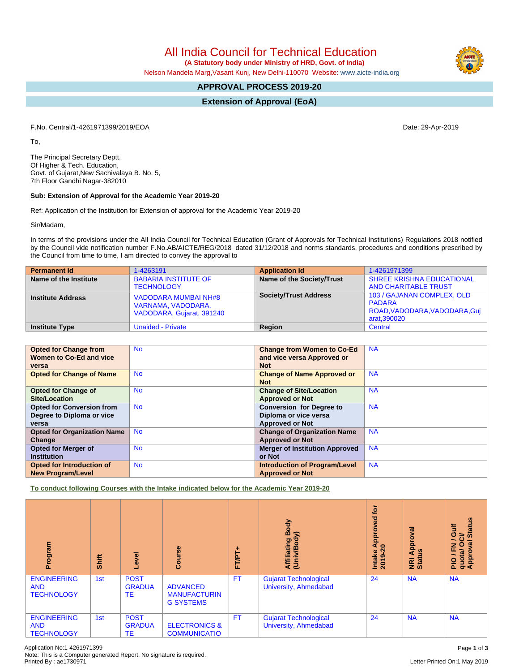All India Council for Technical Education

 **(A Statutory body under Ministry of HRD, Govt. of India)**

Nelson Mandela Marg,Vasant Kunj, New Delhi-110070 Website: [www.aicte-india.org](http://www.aicte-india.org)

# **APPROVAL PROCESS 2019-20**

**Extension of Approval (EoA)**

F.No. Central/1-4261971399/2019/EOA Date: 29-Apr-2019

To,

The Principal Secretary Deptt. Of Higher & Tech. Education, Govt. of Gujarat,New Sachivalaya B. No. 5, 7th Floor Gandhi Nagar-382010

## **Sub: Extension of Approval for the Academic Year 2019-20**

Ref: Application of the Institution for Extension of approval for the Academic Year 2019-20

Sir/Madam,

In terms of the provisions under the All India Council for Technical Education (Grant of Approvals for Technical Institutions) Regulations 2018 notified by the Council vide notification number F.No.AB/AICTE/REG/2018 dated 31/12/2018 and norms standards, procedures and conditions prescribed by the Council from time to time, I am directed to convey the approval to

| <b>Permanent Id</b>      | 1-4263191                                                               | <b>Application Id</b>        | 1-4261971399                                                                                 |
|--------------------------|-------------------------------------------------------------------------|------------------------------|----------------------------------------------------------------------------------------------|
| Name of the Institute    | <b>BABARIA INSTITUTE OF</b><br><b>TECHNOLOGY</b>                        | Name of the Society/Trust    | <b>SHREE KRISHNA EDUCATIONAL</b><br><b>AND CHARITABLE TRUST</b>                              |
| <b>Institute Address</b> | VADODARA MUMBAI NH#8<br>VARNAMA, VADODARA,<br>VADODARA, Gujarat, 391240 | <b>Society/Trust Address</b> | 103 / GAJANAN COMPLEX, OLD<br><b>PADARA</b><br>ROAD, VADODARA, VADODARA, Guj<br>arat, 390020 |
| <b>Institute Type</b>    | <b>Unaided - Private</b>                                                | Region                       | Central                                                                                      |

| <b>Opted for Change from</b>       | <b>No</b> | <b>Change from Women to Co-Ed</b>     | <b>NA</b> |
|------------------------------------|-----------|---------------------------------------|-----------|
| Women to Co-Ed and vice            |           | and vice versa Approved or            |           |
| versa                              |           | <b>Not</b>                            |           |
| <b>Opted for Change of Name</b>    | <b>No</b> | <b>Change of Name Approved or</b>     | <b>NA</b> |
|                                    |           | <b>Not</b>                            |           |
| <b>Opted for Change of</b>         | <b>No</b> | <b>Change of Site/Location</b>        | <b>NA</b> |
| <b>Site/Location</b>               |           | <b>Approved or Not</b>                |           |
| <b>Opted for Conversion from</b>   | <b>No</b> | <b>Conversion for Degree to</b>       | <b>NA</b> |
| Degree to Diploma or vice          |           | Diploma or vice versa                 |           |
| versa                              |           | <b>Approved or Not</b>                |           |
| <b>Opted for Organization Name</b> | <b>No</b> | <b>Change of Organization Name</b>    | <b>NA</b> |
| Change                             |           | <b>Approved or Not</b>                |           |
| <b>Opted for Merger of</b>         | <b>No</b> | <b>Merger of Institution Approved</b> | <b>NA</b> |
| <b>Institution</b>                 |           | or Not                                |           |
| Opted for Introduction of          | <b>No</b> | <b>Introduction of Program/Level</b>  | <b>NA</b> |
| <b>New Program/Level</b>           |           | <b>Approved or Not</b>                |           |

**To conduct following Courses with the Intake indicated below for the Academic Year 2019-20**

| Program                                               | Shift | Level                              | Course                                                     | ۰<br>FT/PT. | Body<br>≲<br>Affiliating I<br>(Univ/Bodv              | tor<br>Approved<br>$\bullet$<br>Intake<br>2019 | Approval<br>9n<br>NRI<br>Statu | <b>Status</b><br>ŧ<br>ဖ<br>ੌਹ<br>$\overline{\phantom{0}}$<br>ह<br>$\circ$<br>준<br>quota/<br>Approv<br><b>PIO</b> |
|-------------------------------------------------------|-------|------------------------------------|------------------------------------------------------------|-------------|-------------------------------------------------------|------------------------------------------------|--------------------------------|------------------------------------------------------------------------------------------------------------------|
| <b>ENGINEERING</b><br><b>AND</b><br><b>TECHNOLOGY</b> | 1st   | <b>POST</b><br><b>GRADUA</b><br>ТE | <b>ADVANCED</b><br><b>MANUFACTURIN</b><br><b>G SYSTEMS</b> | <b>FT</b>   | <b>Gujarat Technological</b><br>University, Ahmedabad | 24                                             | <b>NA</b>                      | <b>NA</b>                                                                                                        |
| <b>ENGINEERING</b><br><b>AND</b><br><b>TECHNOLOGY</b> | 1st   | <b>POST</b><br><b>GRADUA</b><br>ТE | <b>ELECTRONICS &amp;</b><br><b>COMMUNICATIO</b>            | <b>FT</b>   | <b>Gujarat Technological</b><br>University, Ahmedabad | 24                                             | <b>NA</b>                      | <b>NA</b>                                                                                                        |

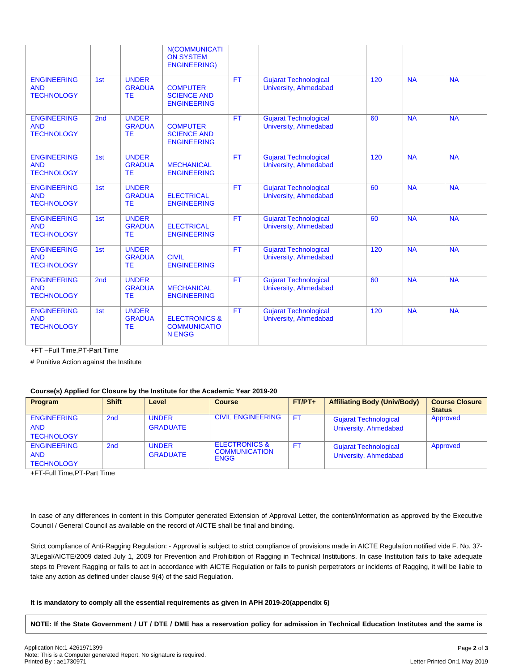|                                                       |                 |                                            | <b>N(COMMUNICATI</b><br><b>ON SYSTEM</b><br><b>ENGINEERING)</b>  |           |                                                              |     |           |           |
|-------------------------------------------------------|-----------------|--------------------------------------------|------------------------------------------------------------------|-----------|--------------------------------------------------------------|-----|-----------|-----------|
| <b>ENGINEERING</b><br><b>AND</b><br><b>TECHNOLOGY</b> | 1st             | <b>UNDER</b><br><b>GRADUA</b><br><b>TE</b> | <b>COMPUTER</b><br><b>SCIENCE AND</b><br><b>ENGINEERING</b>      | <b>FT</b> | <b>Gujarat Technological</b><br>University, Ahmedabad        | 120 | <b>NA</b> | <b>NA</b> |
| <b>ENGINEERING</b><br><b>AND</b><br><b>TECHNOLOGY</b> | 2 <sub>nd</sub> | <b>UNDER</b><br><b>GRADUA</b><br><b>TE</b> | <b>COMPUTER</b><br><b>SCIENCE AND</b><br><b>ENGINEERING</b>      | <b>FT</b> | <b>Gujarat Technological</b><br>University, Ahmedabad        | 60  | <b>NA</b> | <b>NA</b> |
| <b>ENGINEERING</b><br><b>AND</b><br><b>TECHNOLOGY</b> | 1st             | <b>UNDER</b><br><b>GRADUA</b><br><b>TE</b> | <b>MECHANICAL</b><br><b>ENGINEERING</b>                          | <b>FT</b> | <b>Gujarat Technological</b><br>University, Ahmedabad        | 120 | <b>NA</b> | <b>NA</b> |
| <b>ENGINEERING</b><br><b>AND</b><br><b>TECHNOLOGY</b> | 1st             | <b>UNDER</b><br><b>GRADUA</b><br><b>TE</b> | <b>ELECTRICAL</b><br><b>ENGINEERING</b>                          | <b>FT</b> | <b>Gujarat Technological</b><br><b>University, Ahmedabad</b> | 60  | <b>NA</b> | <b>NA</b> |
| <b>ENGINEERING</b><br><b>AND</b><br><b>TECHNOLOGY</b> | 1st             | <b>UNDER</b><br><b>GRADUA</b><br><b>TE</b> | <b>ELECTRICAL</b><br><b>ENGINEERING</b>                          | <b>FT</b> | <b>Gujarat Technological</b><br>University, Ahmedabad        | 60  | <b>NA</b> | <b>NA</b> |
| <b>ENGINEERING</b><br><b>AND</b><br><b>TECHNOLOGY</b> | 1st             | <b>UNDER</b><br><b>GRADUA</b><br><b>TE</b> | <b>CIVIL</b><br><b>ENGINEERING</b>                               | <b>FT</b> | <b>Gujarat Technological</b><br><b>University, Ahmedabad</b> | 120 | <b>NA</b> | NA        |
| <b>ENGINEERING</b><br><b>AND</b><br><b>TECHNOLOGY</b> | 2 <sub>nd</sub> | <b>UNDER</b><br><b>GRADUA</b><br><b>TE</b> | <b>MECHANICAL</b><br><b>ENGINEERING</b>                          | <b>FT</b> | <b>Gujarat Technological</b><br>University, Ahmedabad        | 60  | <b>NA</b> | <b>NA</b> |
| <b>ENGINEERING</b><br><b>AND</b><br><b>TECHNOLOGY</b> | 1st             | <b>UNDER</b><br><b>GRADUA</b><br><b>TE</b> | <b>ELECTRONICS &amp;</b><br><b>COMMUNICATIO</b><br><b>N ENGG</b> | <b>FT</b> | <b>Gujarat Technological</b><br>University, Ahmedabad        | 120 | <b>NA</b> | <b>NA</b> |

+FT –Full Time,PT-Part Time

# Punitive Action against the Institute

# **Course(s) Applied for Closure by the Institute for the Academic Year 2019-20**

| <b>Program</b>                   | <b>Shift</b> | Level                           | <b>Course</b>                                    | $FT/PT+$  | <b>Affiliating Body (Univ/Body)</b> | <b>Course Closure</b><br><b>Status</b> |
|----------------------------------|--------------|---------------------------------|--------------------------------------------------|-----------|-------------------------------------|----------------------------------------|
| <b>ENGINEERING</b><br><b>AND</b> | 2nd          | <b>UNDER</b><br><b>GRADUATE</b> | <b>CIVIL ENGINEERING</b>                         | <b>FT</b> | <b>Gujarat Technological</b>        | Approved                               |
| <b>TECHNOLOGY</b>                |              |                                 |                                                  |           | University, Ahmedabad               |                                        |
| <b>ENGINEERING</b>               | 2nd          | <b>UNDER</b>                    | <b>ELECTRONICS &amp;</b><br><b>COMMUNICATION</b> | <b>FT</b> | <b>Gujarat Technological</b>        | Approved                               |
| <b>AND</b><br><b>TECHNOLOGY</b>  |              | <b>GRADUATE</b>                 | <b>ENGG</b>                                      |           | University, Ahmedabad               |                                        |
|                                  |              |                                 |                                                  |           |                                     |                                        |

+FT-Full Time,PT-Part Time

In case of any differences in content in this Computer generated Extension of Approval Letter, the content/information as approved by the Executive Council / General Council as available on the record of AICTE shall be final and binding.

Strict compliance of Anti-Ragging Regulation: - Approval is subject to strict compliance of provisions made in AICTE Regulation notified vide F. No. 37- 3/Legal/AICTE/2009 dated July 1, 2009 for Prevention and Prohibition of Ragging in Technical Institutions. In case Institution fails to take adequate steps to Prevent Ragging or fails to act in accordance with AICTE Regulation or fails to punish perpetrators or incidents of Ragging, it will be liable to take any action as defined under clause 9(4) of the said Regulation.

# **It is mandatory to comply all the essential requirements as given in APH 2019-20(appendix 6)**

NOTE: If the State Government / UT / DTE / DME has a reservation policy for admission in Technical Education Institutes and the same is